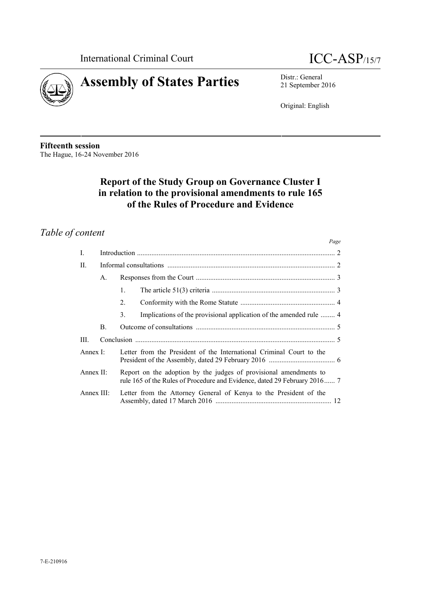



21 September 2016

Original: English

**Fifteenth session** The Hague, 16-24 November 2016

# **Report of the Study Group on Governance Cluster I in relation to the provisional amendments to rule 165 of the Rules of Procedure and Evidence**

# *Table of content*

|                  |                |                                                                                                                                                | Page |
|------------------|----------------|------------------------------------------------------------------------------------------------------------------------------------------------|------|
| L                |                |                                                                                                                                                |      |
| П.               |                |                                                                                                                                                |      |
|                  | A.             |                                                                                                                                                |      |
|                  |                | 1.                                                                                                                                             |      |
|                  |                | $2_{-}$                                                                                                                                        |      |
|                  |                | Implications of the provisional application of the amended rule  4<br>3.                                                                       |      |
|                  | $\mathbf{B}$ . |                                                                                                                                                |      |
| III.             |                |                                                                                                                                                |      |
| Annex $\Gamma$ : |                | Letter from the President of the International Criminal Court to the                                                                           |      |
| Annex $II$ :     |                | Report on the adoption by the judges of provisional amendments to<br>rule 165 of the Rules of Procedure and Evidence, dated 29 February 2016 7 |      |
| Annex $III$ :    |                | Letter from the Attorney General of Kenya to the President of the                                                                              |      |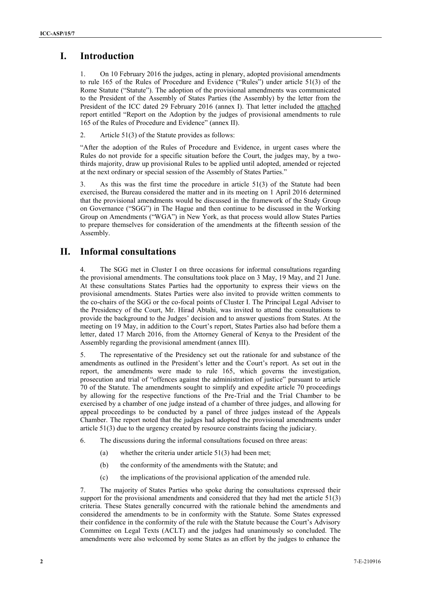# **I. Introduction**

1. On 10 February 2016 the judges, acting in plenary, adopted provisional amendments to rule 165 of the Rules of Procedure and Evidence ("Rules") under article 51(3) of the Rome Statute ("Statute"). The adoption of the provisional amendments was communicated to the President of the Assembly of States Parties (the Assembly) by the letter from the President of the ICC dated 29 February 2016 (annex I). That letter included the attached report entitled "Report on the Adoption by the judges of provisional amendments to rule 165 of the Rules of Procedure and Evidence" (annex II).

2. Article 51(3) of the Statute provides as follows:

"After the adoption of the Rules of Procedure and Evidence, in urgent cases where the Rules do not provide for a specific situation before the Court, the judges may, by a twothirds majority, draw up provisional Rules to be applied until adopted, amended or rejected at the next ordinary or special session of the Assembly of States Parties."

3. As this was the first time the procedure in article 51(3) of the Statute had been exercised, the Bureau considered the matter and in its meeting on 1 April 2016 determined that the provisional amendments would be discussed in the framework of the Study Group on Governance ("SGG") in The Hague and then continue to be discussed in the Working Group on Amendments ("WGA") in New York, as that process would allow States Parties to prepare themselves for consideration of the amendments at the fifteenth session of the Assembly.

# **II. Informal consultations**

4. The SGG met in Cluster I on three occasions for informal consultations regarding the provisional amendments. The consultations took place on 3 May, 19 May, and 21 June. At these consultations States Parties had the opportunity to express their views on the provisional amendments. States Parties were also invited to provide written comments to the co-chairs of the SGG or the co-focal points of Cluster I. The Principal Legal Adviser to the Presidency of the Court, Mr. Hirad Abtahi, was invited to attend the consultations to provide the background to the Judges' decision and to answer questions from States. At the meeting on 19 May, in addition to the Court's report, States Parties also had before them a letter, dated 17 March 2016, from the Attorney General of Kenya to the President of the Assembly regarding the provisional amendment (annex III).

5. The representative of the Presidency set out the rationale for and substance of the amendments as outlined in the President's letter and the Court's report. As set out in the report, the amendments were made to rule 165, which governs the investigation, prosecution and trial of "offences against the administration of justice" pursuant to article 70 of the Statute. The amendments sought to simplify and expedite article 70 proceedings by allowing for the respective functions of the Pre-Trial and the Trial Chamber to be exercised by a chamber of one judge instead of a chamber of three judges, and allowing for appeal proceedings to be conducted by a panel of three judges instead of the Appeals Chamber. The report noted that the judges had adopted the provisional amendments under article 51(3) due to the urgency created by resource constraints facing the judiciary.

- 6. The discussions during the informal consultations focused on three areas:
	- (a) whether the criteria under article 51(3) had been met;
	- (b) the conformity of the amendments with the Statute; and
	- (c) the implications of the provisional application of the amended rule.

7. The majority of States Parties who spoke during the consultations expressed their support for the provisional amendments and considered that they had met the article 51(3) criteria. These States generally concurred with the rationale behind the amendments and considered the amendments to be in conformity with the Statute. Some States expressed their confidence in the conformity of the rule with the Statute because the Court's Advisory Committee on Legal Texts (ACLT) and the judges had unanimously so concluded. The amendments were also welcomed by some States as an effort by the judges to enhance the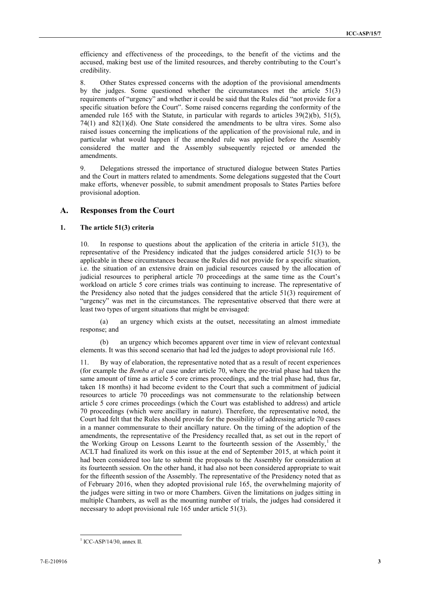efficiency and effectiveness of the proceedings, to the benefit of the victims and the accused, making best use of the limited resources, and thereby contributing to the Court's credibility.

8. Other States expressed concerns with the adoption of the provisional amendments by the judges. Some questioned whether the circumstances met the article 51(3) requirements of "urgency" and whether it could be said that the Rules did "not provide for a specific situation before the Court". Some raised concerns regarding the conformity of the amended rule 165 with the Statute, in particular with regards to articles  $39(2)(b)$ ,  $51(5)$ , 74(1) and 82(1)(d). One State considered the amendments to be ultra vires. Some also raised issues concerning the implications of the application of the provisional rule, and in particular what would happen if the amended rule was applied before the Assembly considered the matter and the Assembly subsequently rejected or amended the amendments.

9. Delegations stressed the importance of structured dialogue between States Parties and the Court in matters related to amendments. Some delegations suggested that the Court make efforts, whenever possible, to submit amendment proposals to States Parties before provisional adoption.

### **A. Responses from the Court**

#### **1. The article 51(3) criteria**

10. In response to questions about the application of the criteria in article 51(3), the representative of the Presidency indicated that the judges considered article 51(3) to be applicable in these circumstances because the Rules did not provide for a specific situation, i.e. the situation of an extensive drain on judicial resources caused by the allocation of judicial resources to peripheral article 70 proceedings at the same time as the Court's workload on article 5 core crimes trials was continuing to increase. The representative of the Presidency also noted that the judges considered that the article 51(3) requirement of "urgency" was met in the circumstances. The representative observed that there were at least two types of urgent situations that might be envisaged:

(a) an urgency which exists at the outset, necessitating an almost immediate response; and

(b) an urgency which becomes apparent over time in view of relevant contextual elements. It was this second scenario that had led the judges to adopt provisional rule 165.

11. By way of elaboration, the representative noted that as a result of recent experiences (for example the *Bemba et al* case under article 70, where the pre-trial phase had taken the same amount of time as article 5 core crimes proceedings, and the trial phase had, thus far, taken 18 months) it had become evident to the Court that such a commitment of judicial resources to article 70 proceedings was not commensurate to the relationship between article 5 core crimes proceedings (which the Court was established to address) and article 70 proceedings (which were ancillary in nature). Therefore, the representative noted, the Court had felt that the Rules should provide for the possibility of addressing article 70 cases in a manner commensurate to their ancillary nature. On the timing of the adoption of the amendments, the representative of the Presidency recalled that, as set out in the report of the Working Group on Lessons Learnt to the fourteenth session of the Assembly, $<sup>1</sup>$  the</sup> ACLT had finalized its work on this issue at the end of September 2015, at which point it had been considered too late to submit the proposals to the Assembly for consideration at its fourteenth session. On the other hand, it had also not been considered appropriate to wait for the fifteenth session of the Assembly. The representative of the Presidency noted that as of February 2016, when they adopted provisional rule 165, the overwhelming majority of the judges were sitting in two or more Chambers. Given the limitations on judges sitting in multiple Chambers, as well as the mounting number of trials, the judges had considered it necessary to adopt provisional rule 165 under article 51(3).

<sup>1</sup> ICC-ASP/14/30, annex II.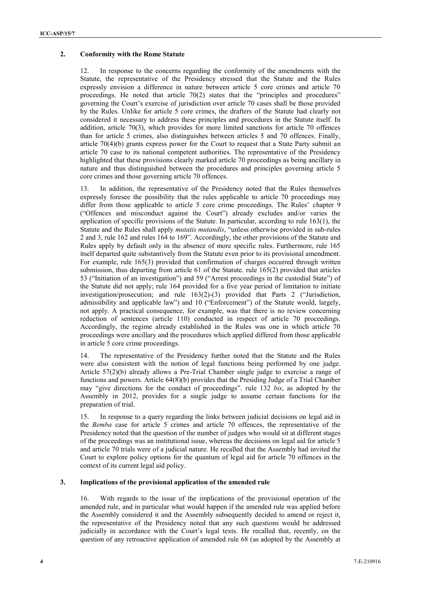### **2. Conformity with the Rome Statute**

12. In response to the concerns regarding the conformity of the amendments with the Statute, the representative of the Presidency stressed that the Statute and the Rules expressly envision a difference in nature between article 5 core crimes and article 70 proceedings. He noted that article 70(2) states that the "principles and procedures" governing the Court's exercise of jurisdiction over article 70 cases shall be those provided by the Rules. Unlike for article 5 core crimes, the drafters of the Statute had clearly not considered it necessary to address these principles and procedures in the Statute itself. In addition, article 70(3), which provides for more limited sanctions for article 70 offences than for article 5 crimes, also distinguishes between articles 5 and 70 offences. Finally, article 70(4)(b) grants express power for the Court to request that a State Party submit an article 70 case to its national competent authorities. The representative of the Presidency highlighted that these provisions clearly marked article 70 proceedings as being ancillary in nature and thus distinguished between the procedures and principles governing article 5 core crimes and those governing article 70 offences.

13. In addition, the representative of the Presidency noted that the Rules themselves expressly foresee the possibility that the rules applicable to article 70 proceedings may differ from those applicable to article 5 core crime proceedings. The Rules' chapter 9 ("Offences and misconduct against the Court") already excludes and/or varies the application of specific provisions of the Statute. In particular, according to rule 163(1), the Statute and the Rules shall apply *mutatis mutandis*, "unless otherwise provided in sub-rules 2 and 3, rule 162 and rules 164 to 169". Accordingly, the other provisions of the Statute and Rules apply by default only in the absence of more specific rules. Furthermore, rule 165 itself departed quite substantively from the Statute even prior to its provisional amendment. For example, rule 165(3) provided that confirmation of charges occurred through written submission, thus departing from article 61 of the Statute. rule 165(2) provided that articles 53 ("Initiation of an investigation") and 59 ("Arrest proceedings in the custodial State") of the Statute did not apply; rule 164 provided for a five year period of limitation to initiate investigation/prosecution; and rule 163(2)-(3) provided that Parts 2 ("Jurisdiction, admissibility and applicable law") and 10 ("Enforcement") of the Statute would, largely, not apply. A practical consequence, for example, was that there is no review concerning reduction of sentences (article 110) conducted in respect of article 70 proceedings. Accordingly, the regime already established in the Rules was one in which article 70 proceedings were ancillary and the procedures which applied differed from those applicable in article 5 core crime proceedings.

14. The representative of the Presidency further noted that the Statute and the Rules were also consistent with the notion of legal functions being performed by one judge. Article 57(2)(b) already allows a Pre-Trial Chamber single judge to exercise a range of functions and powers. Article 64(8)(b) provides that the Presiding Judge of a Trial Chamber may "give directions for the conduct of proceedings". rule 132 *bis*, as adopted by the Assembly in 2012, provides for a single judge to assume certain functions for the preparation of trial.

15. In response to a query regarding the links between judicial decisions on legal aid in the *Bemba* case for article 5 crimes and article 70 offences, the representative of the Presidency noted that the question of the number of judges who would sit at different stages of the proceedings was an institutional issue, whereas the decisions on legal aid for article 5 and article 70 trials were of a judicial nature. He recalled that the Assembly had invited the Court to explore policy options for the quantum of legal aid for article 70 offences in the context of its current legal aid policy.

#### **3. Implications of the provisional application of the amended rule**

16. With regards to the issue of the implications of the provisional operation of the amended rule, and in particular what would happen if the amended rule was applied before the Assembly considered it and the Assembly subsequently decided to amend or reject it, the representative of the Presidency noted that any such questions would be addressed judicially in accordance with the Court's legal texts. He recalled that, recently, on the question of any retroactive application of amended rule 68 (as adopted by the Assembly at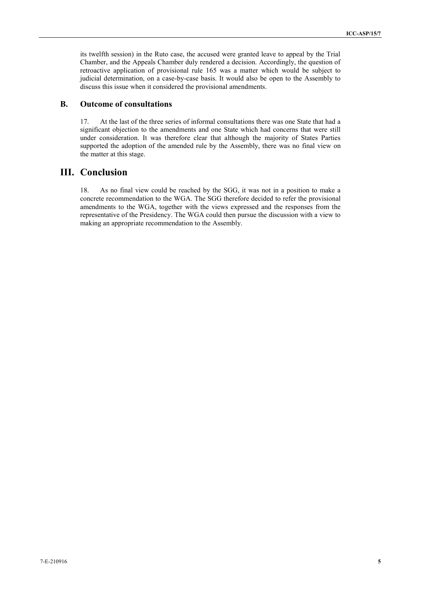its twelfth session) in the Ruto case, the accused were granted leave to appeal by the Trial Chamber, and the Appeals Chamber duly rendered a decision. Accordingly, the question of retroactive application of provisional rule 165 was a matter which would be subject to judicial determination, on a case-by-case basis. It would also be open to the Assembly to discuss this issue when it considered the provisional amendments.

## **B. Outcome of consultations**

17. At the last of the three series of informal consultations there was one State that had a significant objection to the amendments and one State which had concerns that were still under consideration. It was therefore clear that although the majority of States Parties supported the adoption of the amended rule by the Assembly, there was no final view on the matter at this stage.

## **III. Conclusion**

18. As no final view could be reached by the SGG, it was not in a position to make a concrete recommendation to the WGA. The SGG therefore decided to refer the provisional amendments to the WGA, together with the views expressed and the responses from the representative of the Presidency. The WGA could then pursue the discussion with a view to making an appropriate recommendation to the Assembly.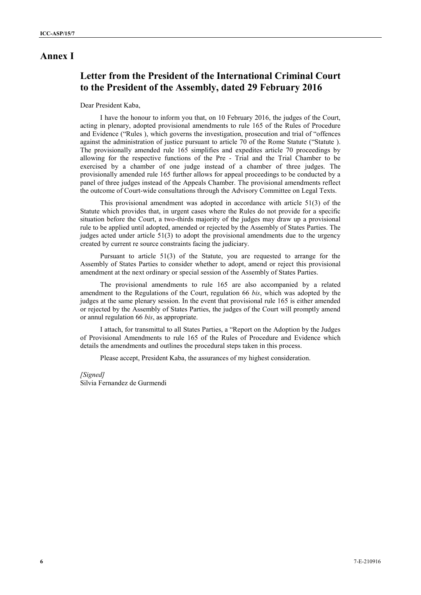## **Annex I**

# **Letter from the President of the International Criminal Court to the President of the Assembly, dated 29 February 2016**

### Dear President Kaba,

I have the honour to inform you that, on 10 February 2016, the judges of the Court, acting in plenary, adopted provisional amendments to rule 165 of the Rules of Procedure and Evidence ("Rules ), which governs the investigation, prosecution and trial of "offences against the administration of justice pursuant to article 70 of the Rome Statute ("Statute ). The provisionally amended rule 165 simplifies and expedites article 70 proceedings by allowing for the respective functions of the Pre - Trial and the Trial Chamber to be exercised by a chamber of one judge instead of a chamber of three judges. The provisionally amended rule 165 further allows for appeal proceedings to be conducted by a panel of three judges instead of the Appeals Chamber. The provisional amendments reflect the outcome of Court-wide consultations through the Advisory Committee on Legal Texts.

This provisional amendment was adopted in accordance with article 51(3) of the Statute which provides that, in urgent cases where the Rules do not provide for a specific situation before the Court, a two-thirds majority of the judges may draw up a provisional rule to be applied until adopted, amended or rejected by the Assembly of States Parties. The judges acted under article 51(3) to adopt the provisional amendments due to the urgency created by current re source constraints facing the judiciary.

Pursuant to article 51(3) of the Statute, you are requested to arrange for the Assembly of States Parties to consider whether to adopt, amend or reject this provisional amendment at the next ordinary or special session of the Assembly of States Parties.

The provisional amendments to rule 165 are also accompanied by a related amendment to the Regulations of the Court, regulation 66 *bis*, which was adopted by the judges at the same plenary session. In the event that provisional rule 165 is either amended or rejected by the Assembly of States Parties, the judges of the Court will promptly amend or annul regulation 66 *bis*, as appropriate.

I attach, for transmittal to all States Parties, a "Report on the Adoption by the Judges of Provisional Amendments to rule 165 of the Rules of Procedure and Evidence which details the amendments and outlines the procedural steps taken in this process.

Please accept, President Kaba, the assurances of my highest consideration.

*[Signed]* Silvia Fernandez de Gurmendi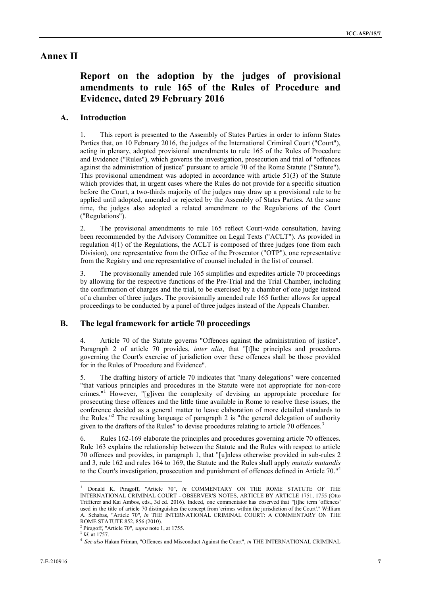# **Annex II**

# **Report on the adoption by the judges of provisional amendments to rule 165 of the Rules of Procedure and Evidence, dated 29 February 2016**

## **A. Introduction**

1. This report is presented to the Assembly of States Parties in order to inform States Parties that, on 10 February 2016, the judges of the International Criminal Court ("Court"), acting in plenary, adopted provisional amendments to rule 165 of the Rules of Procedure and Evidence ("Rules"), which governs the investigation, prosecution and trial of "offences against the administration of justice" pursuant to article 70 of the Rome Statute ("Statute"). This provisional amendment was adopted in accordance with article 51(3) of the Statute which provides that, in urgent cases where the Rules do not provide for a specific situation before the Court, a two-thirds majority of the judges may draw up a provisional rule to be applied until adopted, amended or rejected by the Assembly of States Parties. At the same time, the judges also adopted a related amendment to the Regulations of the Court ("Regulations").

2. The provisional amendments to rule 165 reflect Court-wide consultation, having been recommended by the Advisory Committee on Legal Texts ("ACLT"). As provided in regulation 4(1) of the Regulations, the ACLT is composed of three judges (one from each Division), one representative from the Office of the Prosecutor ("OTP"), one representative from the Registry and one representative of counsel included in the list of counsel.

3. The provisionally amended rule 165 simplifies and expedites article 70 proceedings by allowing for the respective functions of the Pre-Trial and the Trial Chamber, including the confirmation of charges and the trial, to be exercised by a chamber of one judge instead of a chamber of three judges. The provisionally amended rule 165 further allows for appeal proceedings to be conducted by a panel of three judges instead of the Appeals Chamber.

### **B. The legal framework for article 70 proceedings**

4. Article 70 of the Statute governs "Offences against the administration of justice". Paragraph 2 of article 70 provides, *inter alia*, that "[t]he principles and procedures governing the Court's exercise of jurisdiction over these offences shall be those provided for in the Rules of Procedure and Evidence".

5. The drafting history of article 70 indicates that "many delegations" were concerned "that various principles and procedures in the Statute were not appropriate for non-core crimes."<sup>1</sup> However, "[g]iven the complexity of devising an appropriate procedure for prosecuting these offences and the little time available in Rome to resolve these issues, the conference decided as a general matter to leave elaboration of more detailed standards to the Rules."<sup>2</sup> The resulting language of paragraph 2 is "the general delegation of authority given to the drafters of the Rules" to devise procedures relating to article 70 offences.<sup>3</sup>

6. Rules 162-169 elaborate the principles and procedures governing article 70 offences. Rule 163 explains the relationship between the Statute and the Rules with respect to article 70 offences and provides, in paragraph 1, that "[u]nless otherwise provided in sub-rules 2 and 3, rule 162 and rules 164 to 169, the Statute and the Rules shall apply *mutatis mutandis* to the Court's investigation, prosecution and punishment of offences defined in Article 70."<sup>4</sup>

<sup>1</sup> Donald K. Piragoff, "Article 70", *in* COMMENTARY ON THE ROME STATUTE OF THE INTERNATIONAL CRIMINAL COURT - OBSERVER'S NOTES, ARTICLE BY ARTICLE 1751, 1755 (Otto Triffterer and Kai Ambos, eds., 3d ed. 2016). Indeed, one commentator has observed that "[t]he term 'offences' used in the title of article 70 distinguishes the concept from 'crimes within the jurisdiction of the Court'." William A. Schabas, "Article 70", *in* THE INTERNATIONAL CRIMINAL COURT: A COMMENTARY ON THE

<sup>&</sup>lt;sup>2</sup> Piragoff, "Article 70", *supra* note 1, at 1755.

<sup>3</sup> *Id*. at 1757.

<sup>4</sup> *See also* Hakan Friman, "Offences and Misconduct Against the Court", *in* THE INTERNATIONAL CRIMINAL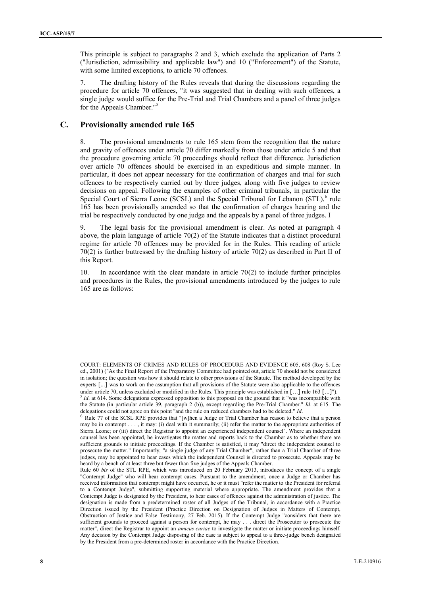This principle is subject to paragraphs 2 and 3, which exclude the application of Parts 2 ("Jurisdiction, admissibility and applicable law") and 10 ("Enforcement") of the Statute, with some limited exceptions, to article 70 offences.

7. The drafting history of the Rules reveals that during the discussions regarding the procedure for article 70 offences, "it was suggested that in dealing with such offences, a single judge would suffice for the Pre-Trial and Trial Chambers and a panel of three judges for the Appeals Chamber."<sup>5</sup>

### **C. Provisionally amended rule 165**

8. The provisional amendments to rule 165 stem from the recognition that the nature and gravity of offences under article 70 differ markedly from those under article 5 and that the procedure governing article 70 proceedings should reflect that difference. Jurisdiction over article 70 offences should be exercised in an expeditious and simple manner. In particular, it does not appear necessary for the confirmation of charges and trial for such offences to be respectively carried out by three judges, along with five judges to review decisions on appeal. Following the examples of other criminal tribunals, in particular the Special Court of Sierra Leone (SCSL) and the Special Tribunal for Lebanon (STL), $6$  rule 165 has been provisionally amended so that the confirmation of charges hearing and the trial be respectively conducted by one judge and the appeals by a panel of three judges. I

9. The legal basis for the provisional amendment is clear. As noted at paragraph 4 above, the plain language of article 70(2) of the Statute indicates that a distinct procedural regime for article 70 offences may be provided for in the Rules. This reading of article 70(2) is further buttressed by the drafting history of article 70(2) as described in Part II of this Report.

10. In accordance with the clear mandate in article 70(2) to include further principles and procedures in the Rules, the provisional amendments introduced by the judges to rule 165 are as follows:

COURT: ELEMENTS OF CRIMES AND RULES OF PROCEDURE AND EVIDENCE 605, 608 (Roy S. Lee ed., 2001) ("As the Final Report of the Preparatory Committee had pointed out, article 70 should not be considered in isolation; the question was how it should relate to other provisions of the Statute. The method developed by the experts [...] was to work on the assumption that all provisions of the Statute were also applicable to the offences under article 70, unless excluded or modified in the Rules. This principle was established in [...] rule 163 [...]").<br>
<sup>5</sup> *Id.* at 614. Some delegations expressed opposition to this proposal on the ground that it "was in the Statute (in particular article 39, paragraph 2 (b)), except regarding the Pre-Trial Chamber." *Id*. at 615. The delegations could not agree on this point "and the rule on reduced chambers had to be deleted." *Id*.

Rule 77 of the SCSL RPE provides that "[w]hen a Judge or Trial Chamber has reason to believe that a person may be in contempt . . . , it may: (i) deal with it summarily; (ii) refer the matter to the appropriate authorities of Sierra Leone; or (iii) direct the Registrar to appoint an experienced independent counsel". Where an independent counsel has been appointed, he investigates the matter and reports back to the Chamber as to whether there are sufficient grounds to initiate proceedings. If the Chamber is satisfied, it may "direct the independent counsel to prosecute the matter." Importantly, "a single judge of any Trial Chamber", rather than a Trial Chamber of three judges, may be appointed to hear cases which the independent Counsel is directed to prosecute. Appeals may be heard by a bench of at least three but fewer than five judges of the Appeals Chamber.

Rule 60 *bis* of the STL RPE, which was introduced on 20 February 2013, introduces the concept of a single "Contempt Judge" who will hear contempt cases. Pursuant to the amendment, once a Judge or Chamber has received information that contempt might have occurred, he or it must "refer the matter to the President for referral to a Contempt Judge", submitting supporting material where appropriate. The amendment provides that a Contempt Judge is designated by the President, to hear cases of offences against the administration of justice. The designation is made from a predetermined roster of all Judges of the Tribunal, in accordance with a Practice Direction issued by the President (Practice Direction on Designation of Judges in Matters of Contempt, Obstruction of Justice and False Testimony, 27 Feb. 2015). If the Contempt Judge "considers that there are sufficient grounds to proceed against a person for contempt, he may . . . direct the Prosecutor to prosecute the matter", direct the Registrar to appoint an *amicus curiae* to investigate the matter or initiate proceedings himself. Any decision by the Contempt Judge disposing of the case is subject to appeal to a three-judge bench designated by the President from a pre-determined roster in accordance with the Practice Direction.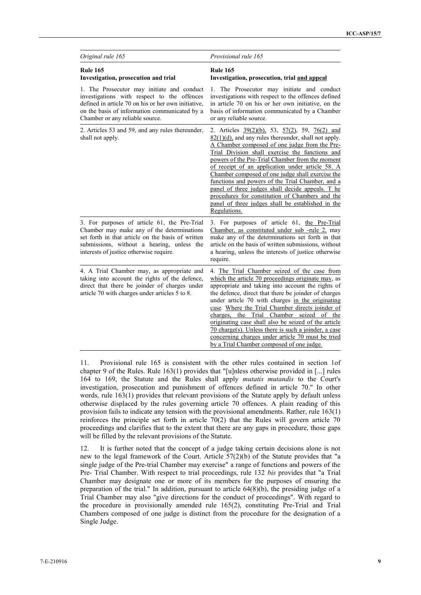| Original rule 165                                                                                                                                                                                                                        | Provisional rule 165                                                                                                                                                                                                                                                                                                                                                                                                                                                                                                                                                                                             |
|------------------------------------------------------------------------------------------------------------------------------------------------------------------------------------------------------------------------------------------|------------------------------------------------------------------------------------------------------------------------------------------------------------------------------------------------------------------------------------------------------------------------------------------------------------------------------------------------------------------------------------------------------------------------------------------------------------------------------------------------------------------------------------------------------------------------------------------------------------------|
| <b>Rule 165</b><br>Investigation, prosecution and trial                                                                                                                                                                                  | <b>Rule 165</b><br>Investigation, prosecution, trial and appeal                                                                                                                                                                                                                                                                                                                                                                                                                                                                                                                                                  |
| 1. The Prosecutor may initiate and conduct<br>investigations with respect to the offences<br>defined in article 70 on his or her own initiative,<br>on the basis of information communicated by a<br>Chamber or any reliable source.     | 1. The Prosecutor may initiate and conduct<br>investigations with respect to the offences defined<br>in article 70 on his or her own initiative, on the<br>basis of information communicated by a Chamber<br>or any reliable source.                                                                                                                                                                                                                                                                                                                                                                             |
| 2. Articles 53 and 59, and any rules thereunder,<br>shall not apply.                                                                                                                                                                     | 2. Articles $39(2)(b)$ , 53, $57(2)$ , 59, $76(2)$ and<br>$82(1)(d)$ , and any rules thereunder, shall not apply.<br>A Chamber composed of one judge from the Pre-<br>Trial Division shall exercise the functions and<br>powers of the Pre-Trial Chamber from the moment<br>of receipt of an application under article 58. A<br>Chamber composed of one judge shall exercise the<br>functions and powers of the Trial Chamber, and a<br>panel of three judges shall decide appeals. T he<br>procedures for constitution of Chambers and the<br>panel of three judges shall be established in the<br>Regulations. |
| 3. For purposes of article 61, the Pre-Trial<br>Chamber may make any of the determinations<br>set forth in that article on the basis of written<br>submissions, without a hearing, unless the<br>interests of justice otherwise require. | 3. For purposes of article 61, the Pre-Trial<br>Chamber, as constituted under sub-rule 2, may<br>make any of the determinations set forth in that<br>article on the basis of written submissions, without<br>a hearing, unless the interests of justice otherwise<br>require.                                                                                                                                                                                                                                                                                                                                    |
| 4. A Trial Chamber may, as appropriate and<br>taking into account the rights of the defence,<br>direct that there be joinder of charges under<br>article 70 with charges under articles 5 to 8.                                          | 4. The Trial Chamber seized of the case from<br>which the article 70 proceedings originate may, as<br>appropriate and taking into account the rights of<br>the defence, direct that there be joinder of charges<br>under article 70 with charges in the originating<br>case. Where the Trial Chamber directs joinder of<br>charges, the Trial Chamber seized of the<br>originating case shall also be seized of the article<br>70 charge(s). Unless there is such a joinder, a case<br>concerning charges under article 70 must be tried<br>by a Trial Chamber composed of one judge.                            |

11. Provisional rule 165 is consistent with the other rules contained in section 1of chapter 9 of the Rules. Rule 163(1) provides that "[u]nless otherwise provided in [...] rules 164 to 169, the Statute and the Rules shall apply *mutatis mutandis* to the Court's investigation, prosecution and punishment of offences defined in article 70." In other words, rule 163(1) provides that relevant provisions of the Statute apply by default unless otherwise displaced by the rules governing article 70 offences. A plain reading of this provision fails to indicate any tension with the provisional amendments. Rather, rule 163(1) reinforces the principle set forth in article 70(2) that the Rules will govern article 70 proceedings and clarifies that to the extent that there are any gaps in procedure, those gaps will be filled by the relevant provisions of the Statute.

12. It is further noted that the concept of a judge taking certain decisions alone is not new to the legal framework of the Court. Article 57(2)(b) of the Statute provides that "a single judge of the Pre-trial Chamber may exercise" a range of functions and powers of the Pre- Trial Chamber. With respect to trial proceedings, rule 132 *bis* provides that "a Trial Chamber may designate one or more of its members for the purposes of ensuring the preparation of the trial." In addition, pursuant to article 64(8)(b), the presiding judge of a Trial Chamber may also "give directions for the conduct of proceedings". With regard to the procedure in provisionally amended rule 165(2), constituting Pre-Trial and Trial Chambers composed of one judge is distinct from the procedure for the designation of a Single Judge.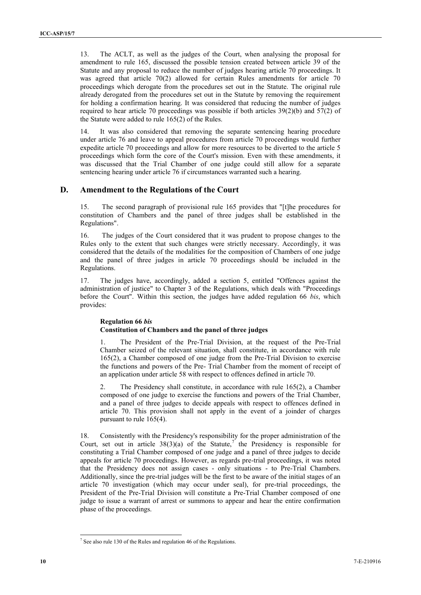13. The ACLT, as well as the judges of the Court, when analysing the proposal for amendment to rule 165, discussed the possible tension created between article 39 of the Statute and any proposal to reduce the number of judges hearing article 70 proceedings. It was agreed that article 70(2) allowed for certain Rules amendments for article 70 proceedings which derogate from the procedures set out in the Statute. The original rule already derogated from the procedures set out in the Statute by removing the requirement for holding a confirmation hearing. It was considered that reducing the number of judges required to hear article 70 proceedings was possible if both articles  $39(2)(b)$  and  $57(2)$  of the Statute were added to rule 165(2) of the Rules.

14. It was also considered that removing the separate sentencing hearing procedure under article 76 and leave to appeal procedures from article 70 proceedings would further expedite article 70 proceedings and allow for more resources to be diverted to the article 5 proceedings which form the core of the Court's mission. Even with these amendments, it was discussed that the Trial Chamber of one judge could still allow for a separate sentencing hearing under article 76 if circumstances warranted such a hearing.

### **D. Amendment to the Regulations of the Court**

15. The second paragraph of provisional rule 165 provides that "[t]he procedures for constitution of Chambers and the panel of three judges shall be established in the Regulations".

16. The judges of the Court considered that it was prudent to propose changes to the Rules only to the extent that such changes were strictly necessary. Accordingly, it was considered that the details of the modalities for the composition of Chambers of one judge and the panel of three judges in article 70 proceedings should be included in the Regulations.

17. The judges have, accordingly, added a section 5, entitled "Offences against the administration of justice" to Chapter 3 of the Regulations, which deals with "Proceedings before the Court". Within this section, the judges have added regulation 66 *bis*, which provides:

### **Regulation 66** *bis* **Constitution of Chambers and the panel of three judges**

1. The President of the Pre-Trial Division, at the request of the Pre-Trial Chamber seized of the relevant situation, shall constitute, in accordance with rule 165(2), a Chamber composed of one judge from the Pre-Trial Division to exercise the functions and powers of the Pre- Trial Chamber from the moment of receipt of an application under article 58 with respect to offences defined in article 70.

2. The Presidency shall constitute, in accordance with rule 165(2), a Chamber composed of one judge to exercise the functions and powers of the Trial Chamber, and a panel of three judges to decide appeals with respect to offences defined in article 70. This provision shall not apply in the event of a joinder of charges pursuant to rule 165(4).

18. Consistently with the Presidency's responsibility for the proper administration of the Court, set out in article  $38(3)(a)$  of the Statute,<sup>7</sup> the Presidency is responsible for constituting a Trial Chamber composed of one judge and a panel of three judges to decide appeals for article 70 proceedings. However, as regards pre-trial proceedings, it was noted that the Presidency does not assign cases - only situations - to Pre-Trial Chambers. Additionally, since the pre-trial judges will be the first to be aware of the initial stages of an article 70 investigation (which may occur under seal), for pre-trial proceedings, the President of the Pre-Trial Division will constitute a Pre-Trial Chamber composed of one judge to issue a warrant of arrest or summons to appear and hear the entire confirmation phase of the proceedings.

<sup>7</sup> See also rule 130 of the Rules and regulation 46 of the Regulations.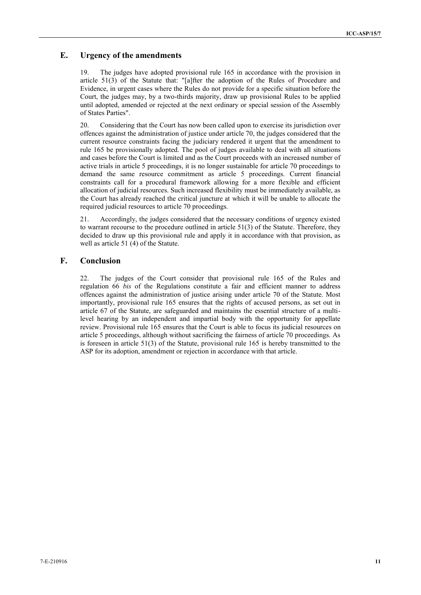## **E. Urgency of the amendments**

19. The judges have adopted provisional rule 165 in accordance with the provision in article 51(3) of the Statute that: "[a]fter the adoption of the Rules of Procedure and Evidence, in urgent cases where the Rules do not provide for a specific situation before the Court, the judges may, by a two-thirds majority, draw up provisional Rules to be applied until adopted, amended or rejected at the next ordinary or special session of the Assembly of States Parties".

20. Considering that the Court has now been called upon to exercise its jurisdiction over offences against the administration of justice under article 70, the judges considered that the current resource constraints facing the judiciary rendered it urgent that the amendment to rule 165 be provisionally adopted. The pool of judges available to deal with all situations and cases before the Court is limited and as the Court proceeds with an increased number of active trials in article 5 proceedings, it is no longer sustainable for article 70 proceedings to demand the same resource commitment as article 5 proceedings. Current financial constraints call for a procedural framework allowing for a more flexible and efficient allocation of judicial resources. Such increased flexibility must be immediately available, as the Court has already reached the critical juncture at which it will be unable to allocate the required judicial resources to article 70 proceedings.

21. Accordingly, the judges considered that the necessary conditions of urgency existed to warrant recourse to the procedure outlined in article  $51(3)$  of the Statute. Therefore, they decided to draw up this provisional rule and apply it in accordance with that provision, as well as article 51 (4) of the Statute.

## **F. Conclusion**

22. The judges of the Court consider that provisional rule 165 of the Rules and regulation 66 *bis* of the Regulations constitute a fair and efficient manner to address offences against the administration of justice arising under article 70 of the Statute. Most importantly, provisional rule 165 ensures that the rights of accused persons, as set out in article 67 of the Statute, are safeguarded and maintains the essential structure of a multilevel hearing by an independent and impartial body with the opportunity for appellate review. Provisional rule 165 ensures that the Court is able to focus its judicial resources on article 5 proceedings, although without sacrificing the fairness of article 70 proceedings. As is foreseen in article 51(3) of the Statute, provisional rule 165 is hereby transmitted to the ASP for its adoption, amendment or rejection in accordance with that article.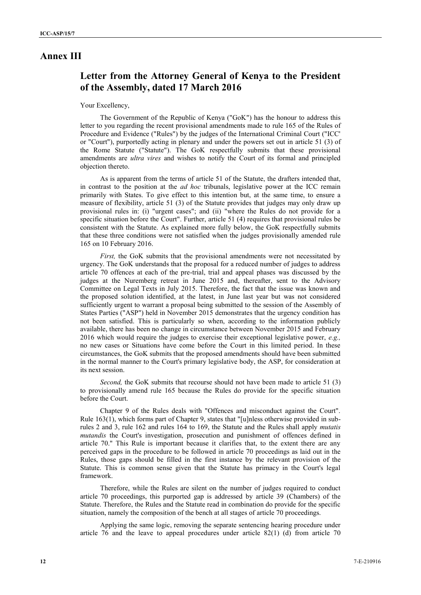## **Annex III**

# **Letter from the Attorney General of Kenya to the President of the Assembly, dated 17 March 2016**

### Your Excellency,

The Government of the Republic of Kenya ("GoK") has the honour to address this letter to you regarding the recent provisional amendments made to rule 165 of the Rules of Procedure and Evidence ("Rules") by the judges of the International Criminal Court ("ICC' or "Court"), purportedly acting in plenary and under the powers set out in article 51 (3) of the Rome Statute ("Statute"). The GoK respectfully submits that these provisional amendments are *ultra vires* and wishes to notify the Court of its formal and principled objection thereto.

As is apparent from the terms of article 51 of the Statute, the drafters intended that, in contrast to the position at the *ad hoc* tribunals, legislative power at the ICC remain primarily with States. To give effect to this intention but, at the same time, to ensure a measure of flexibility, article 51 (3) of the Statute provides that judges may only draw up provisional rules in: (i) "urgent cases"; and (ii) "where the Rules do not provide for a specific situation before the Court". Further, article 51 (4) requires that provisional rules be consistent with the Statute. As explained more fully below, the GoK respectfully submits that these three conditions were not satisfied when the judges provisionally amended rule 165 on 10 February 2016.

*First*, the GoK submits that the provisional amendments were not necessitated by urgency. The GoK understands that the proposal for a reduced number of judges to address article 70 offences at each of the pre-trial, trial and appeal phases was discussed by the judges at the Nuremberg retreat in June 2015 and, thereafter, sent to the Advisory Committee on Legal Texts in July 2015. Therefore, the fact that the issue was known and the proposed solution identified, at the latest, in June last year but was not considered sufficiently urgent to warrant a proposal being submitted to the session of the Assembly of States Parties ("ASP") held in November 2015 demonstrates that the urgency condition has not been satisfied. This is particularly so when, according to the information publicly available, there has been no change in circumstance between November 2015 and February 2016 which would require the judges to exercise their exceptional legislative power, *e.g.,* no new cases or Situations have come before the Court in this limited period. In these circumstances, the GoK submits that the proposed amendments should have been submitted in the normal manner to the Court's primary legislative body, the ASP, for consideration at its next session.

*Second*, the GoK submits that recourse should not have been made to article 51 (3) to provisionally amend rule 165 because the Rules do provide for the specific situation before the Court.

Chapter 9 of the Rules deals with "Offences and misconduct against the Court". Rule 163(1), which forms part of Chapter 9, states that "[u]nless otherwise provided in subrules 2 and 3, rule 162 and rules 164 to 169, the Statute and the Rules shall apply *mutatis mutandis* the Court's investigation, prosecution and punishment of offences defined in article 70." This Rule is important because it clarifies that, to the extent there are any perceived gaps in the procedure to be followed in article 70 proceedings as laid out in the Rules, those gaps should be filled in the first instance by the relevant provision of the Statute. This is common sense given that the Statute has primacy in the Court's legal framework.

Therefore, while the Rules are silent on the number of judges required to conduct article 70 proceedings, this purported gap is addressed by article 39 (Chambers) of the Statute. Therefore, the Rules and the Statute read in combination do provide for the specific situation, namely the composition of the bench at all stages of article 70 proceedings.

Applying the same logic, removing the separate sentencing hearing procedure under article 76 and the leave to appeal procedures under article 82(1) (d) from article 70